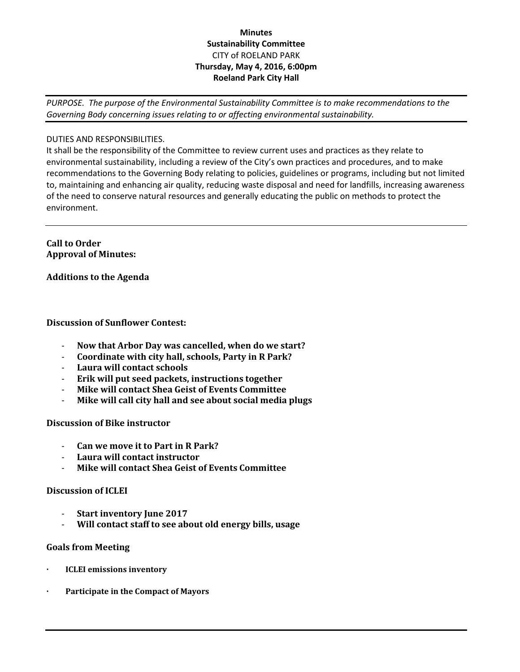# **Minutes Sustainability Committee** CITY of ROELAND PARK **Thursday, May 4, 2016, 6:00pm Roeland Park City Hall**

*PURPOSE. The purpose of the Environmental Sustainability Committee is to make recommendations to the Governing Body concerning issues relating to or affecting environmental sustainability.*

## DUTIES AND RESPONSIBILITIES.

It shall be the responsibility of the Committee to review current uses and practices as they relate to environmental sustainability, including a review of the City's own practices and procedures, and to make recommendations to the Governing Body relating to policies, guidelines or programs, including but not limited to, maintaining and enhancing air quality, reducing waste disposal and need for landfills, increasing awareness of the need to conserve natural resources and generally educating the public on methods to protect the environment.

**Call to Order Approval of Minutes:** 

### **Additions to the Agenda**

### **Discussion of Sunflower Contest:**

- **Now that Arbor Day was cancelled, when do we start?**
- **Coordinate with city hall, schools, Party in R Park?**
- **Laura will contact schools**
- **Erik will put seed packets, instructions together**
- **Mike will contact Shea Geist of Events Committee**
- **Mike will call city hall and see about social media plugs**

### **Discussion of Bike instructor**

- **Can we move it to Part in R Park?**
- **Laura will contact instructor**
- **Mike will contact Shea Geist of Events Committee**

#### **Discussion of ICLEI**

- **Start inventory June 2017**
- **Will contact staff to see about old energy bills, usage**

## **Goals from Meeting**

- **· ICLEI emissions inventory**
- **· Participate in the Compact of Mayors**